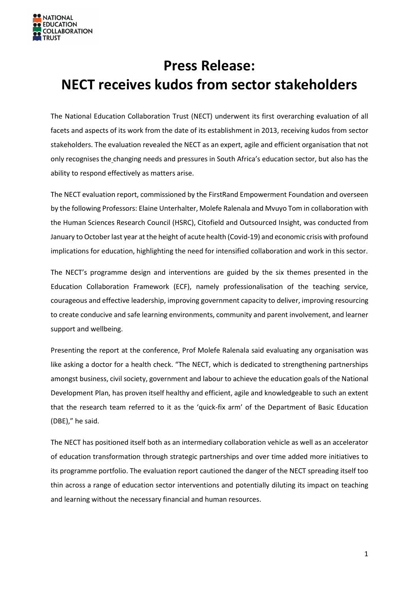

## **Press Release: NECT receives kudos from sector stakeholders**

The National Education Collaboration Trust (NECT) underwent its first overarching evaluation of all facets and aspects of its work from the date of its establishment in 2013, receiving kudos from sector stakeholders. The evaluation revealed the NECT as an expert, agile and efficient organisation that not only recognises the changing needs and pressures in South Africa's education sector, but also has the ability to respond effectively as matters arise.

The NECT evaluation report, commissioned by the FirstRand Empowerment Foundation and overseen by the following Professors: Elaine Unterhalter, Molefe Ralenala and Mvuyo Tom in collaboration with the Human Sciences Research Council (HSRC), Citofield and Outsourced Insight, was conducted from January to October last year at the height of acute health (Covid-19) and economic crisis with profound implications for education, highlighting the need for intensified collaboration and work in this sector.

The NECT's programme design and interventions are guided by the six themes presented in the Education Collaboration Framework (ECF), namely professionalisation of the teaching service, courageous and effective leadership, improving government capacity to deliver, improving resourcing to create conducive and safe learning environments, community and parent involvement, and learner support and wellbeing.

Presenting the report at the conference, Prof Molefe Ralenala said evaluating any organisation was like asking a doctor for a health check. "The NECT, which is dedicated to strengthening partnerships amongst business, civil society, government and labour to achieve the education goals of the National Development Plan, has proven itself healthy and efficient, agile and knowledgeable to such an extent that the research team referred to it as the 'quick-fix arm' of the Department of Basic Education (DBE)," he said.

The NECT has positioned itself both as an intermediary collaboration vehicle as well as an accelerator of education transformation through strategic partnerships and over time added more initiatives to its programme portfolio. The evaluation report cautioned the danger of the NECT spreading itself too thin across a range of education sector interventions and potentially diluting its impact on teaching and learning without the necessary financial and human resources.